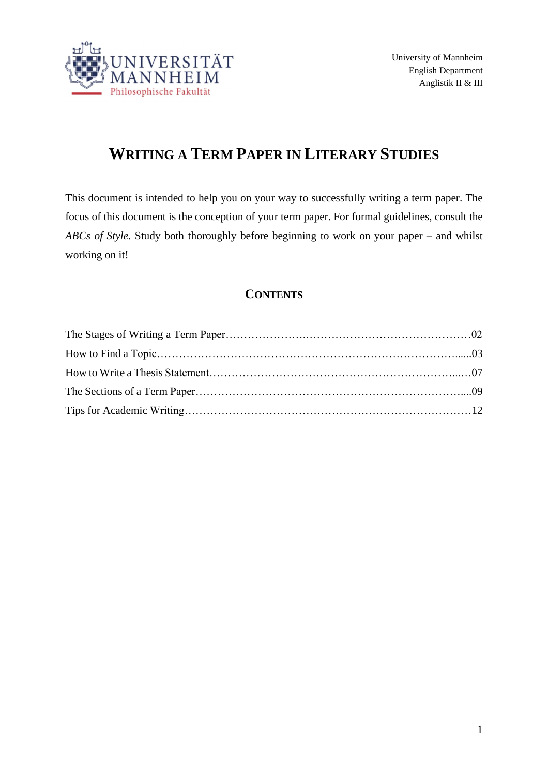

# **WRITING A TERM PAPER IN LITERARY STUDIES**

This document is intended to help you on your way to successfully writing a term paper. The focus of this document is the conception of your term paper. For formal guidelines, consult the *ABCs of Style*. Study both thoroughly before beginning to work on your paper – and whilst working on it!

# **CONTENTS**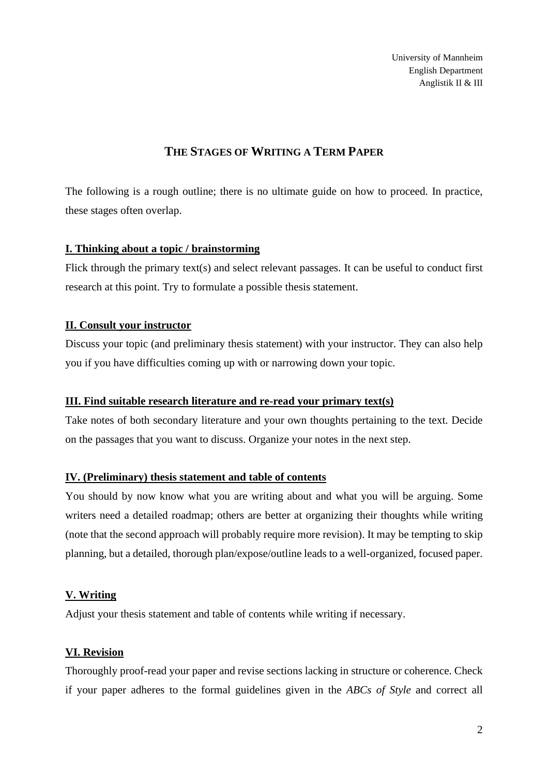University of Mannheim English Department Anglistik II & III

# **THE STAGES OF WRITING A TERM PAPER**

The following is a rough outline; there is no ultimate guide on how to proceed. In practice, these stages often overlap.

#### **I. Thinking about a topic / brainstorming**

Flick through the primary text(s) and select relevant passages. It can be useful to conduct first research at this point. Try to formulate a possible thesis statement.

## **II. Consult your instructor**

Discuss your topic (and preliminary thesis statement) with your instructor. They can also help you if you have difficulties coming up with or narrowing down your topic.

## **III. Find suitable research literature and re-read your primary text(s)**

Take notes of both secondary literature and your own thoughts pertaining to the text. Decide on the passages that you want to discuss. Organize your notes in the next step.

# **IV. (Preliminary) thesis statement and table of contents**

You should by now know what you are writing about and what you will be arguing. Some writers need a detailed roadmap; others are better at organizing their thoughts while writing (note that the second approach will probably require more revision). It may be tempting to skip planning, but a detailed, thorough plan/expose/outline leads to a well-organized, focused paper.

## **V. Writing**

Adjust your thesis statement and table of contents while writing if necessary.

# **VI. Revision**

Thoroughly proof-read your paper and revise sections lacking in structure or coherence. Check if your paper adheres to the formal guidelines given in the *ABCs of Style* and correct all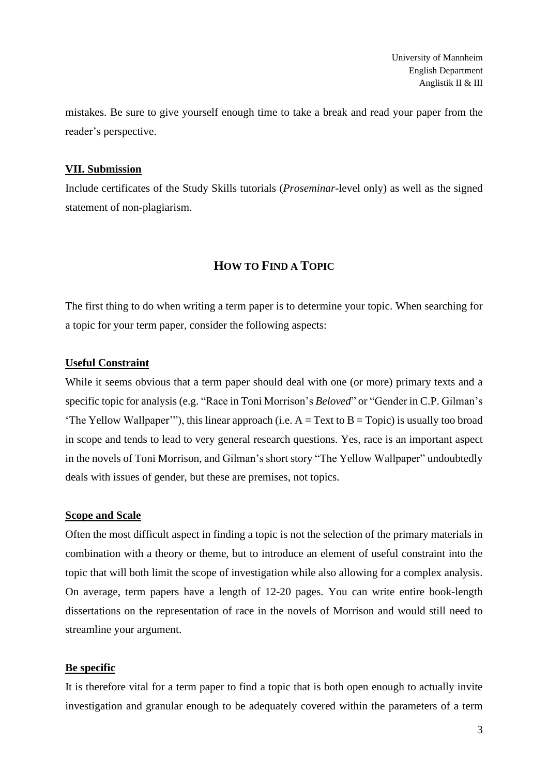mistakes. Be sure to give yourself enough time to take a break and read your paper from the reader's perspective.

#### **VII. Submission**

Include certificates of the Study Skills tutorials (*Proseminar*-level only) as well as the signed statement of non-plagiarism.

# **HOW TO FIND A TOPIC**

The first thing to do when writing a term paper is to determine your topic. When searching for a topic for your term paper, consider the following aspects:

## **Useful Constraint**

While it seems obvious that a term paper should deal with one (or more) primary texts and a specific topic for analysis (e.g. "Race in Toni Morrison's *Beloved*" or "Gender in C.P. Gilman's 'The Yellow Wallpaper'"), this linear approach (i.e.  $A = Text to B = Topic$ ) is usually too broad in scope and tends to lead to very general research questions. Yes, race is an important aspect in the novels of Toni Morrison, and Gilman's short story "The Yellow Wallpaper" undoubtedly deals with issues of gender, but these are premises, not topics.

#### **Scope and Scale**

Often the most difficult aspect in finding a topic is not the selection of the primary materials in combination with a theory or theme, but to introduce an element of useful constraint into the topic that will both limit the scope of investigation while also allowing for a complex analysis. On average, term papers have a length of 12-20 pages. You can write entire book-length dissertations on the representation of race in the novels of Morrison and would still need to streamline your argument.

## **Be specific**

It is therefore vital for a term paper to find a topic that is both open enough to actually invite investigation and granular enough to be adequately covered within the parameters of a term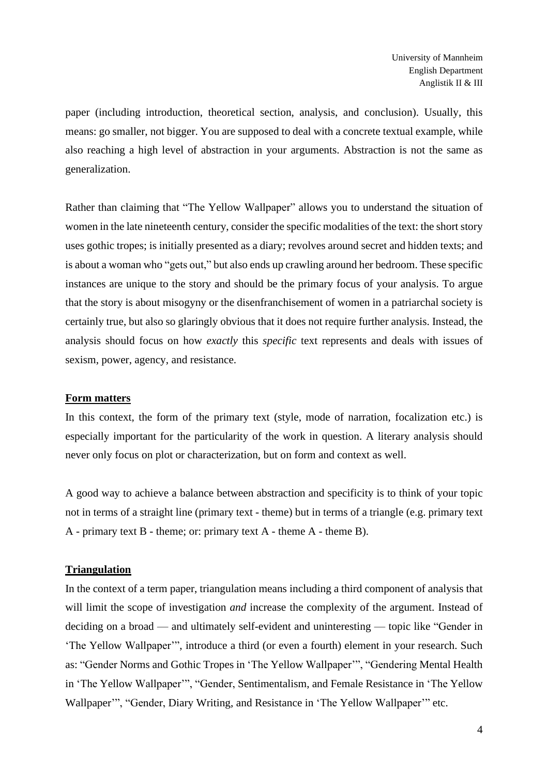paper (including introduction, theoretical section, analysis, and conclusion). Usually, this means: go smaller, not bigger. You are supposed to deal with a concrete textual example, while also reaching a high level of abstraction in your arguments. Abstraction is not the same as generalization.

Rather than claiming that "The Yellow Wallpaper" allows you to understand the situation of women in the late nineteenth century, consider the specific modalities of the text: the short story uses gothic tropes; is initially presented as a diary; revolves around secret and hidden texts; and is about a woman who "gets out," but also ends up crawling around her bedroom. These specific instances are unique to the story and should be the primary focus of your analysis. To argue that the story is about misogyny or the disenfranchisement of women in a patriarchal society is certainly true, but also so glaringly obvious that it does not require further analysis. Instead, the analysis should focus on how *exactly* this *specific* text represents and deals with issues of sexism, power, agency, and resistance.

#### **Form matters**

In this context, the form of the primary text (style, mode of narration, focalization etc.) is especially important for the particularity of the work in question. A literary analysis should never only focus on plot or characterization, but on form and context as well.

A good way to achieve a balance between abstraction and specificity is to think of your topic not in terms of a straight line (primary text - theme) but in terms of a triangle (e.g. primary text A - primary text B - theme; or: primary text A - theme A - theme B).

## **Triangulation**

In the context of a term paper, triangulation means including a third component of analysis that will limit the scope of investigation *and* increase the complexity of the argument. Instead of deciding on a broad — and ultimately self-evident and uninteresting — topic like "Gender in 'The Yellow Wallpaper'", introduce a third (or even a fourth) element in your research. Such as: "Gender Norms and Gothic Tropes in 'The Yellow Wallpaper'", "Gendering Mental Health in 'The Yellow Wallpaper'", "Gender, Sentimentalism, and Female Resistance in 'The Yellow Wallpaper'", "Gender, Diary Writing, and Resistance in 'The Yellow Wallpaper'" etc.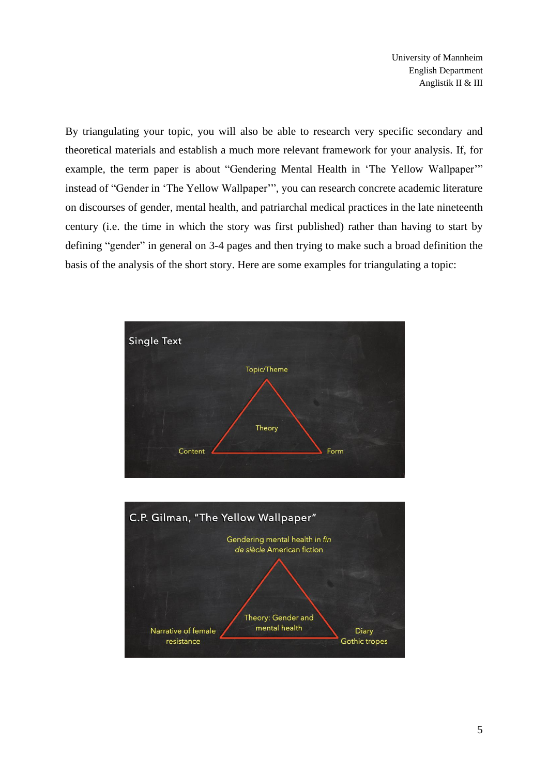University of Mannheim English Department Anglistik II & III

By triangulating your topic, you will also be able to research very specific secondary and theoretical materials and establish a much more relevant framework for your analysis. If, for example, the term paper is about "Gendering Mental Health in 'The Yellow Wallpaper'" instead of "Gender in 'The Yellow Wallpaper'", you can research concrete academic literature on discourses of gender, mental health, and patriarchal medical practices in the late nineteenth century (i.e. the time in which the story was first published) rather than having to start by defining "gender" in general on 3-4 pages and then trying to make such a broad definition the basis of the analysis of the short story. Here are some examples for triangulating a topic:



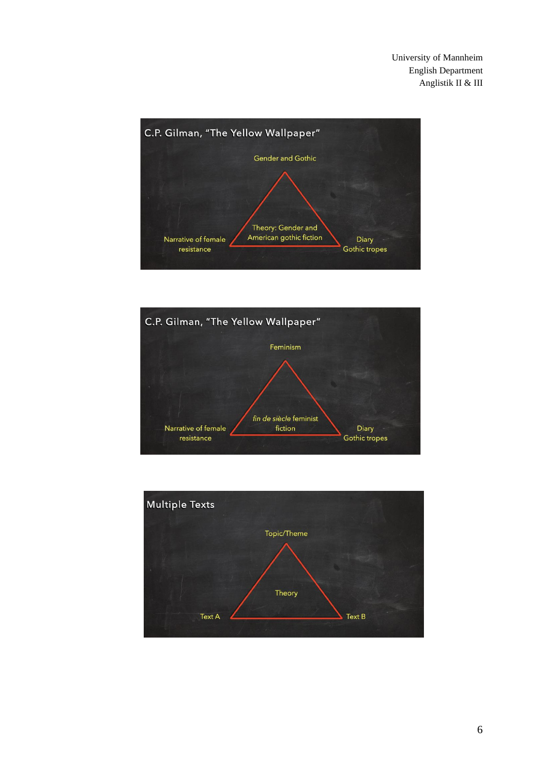University of Mannheim English Department Anglistik II & III





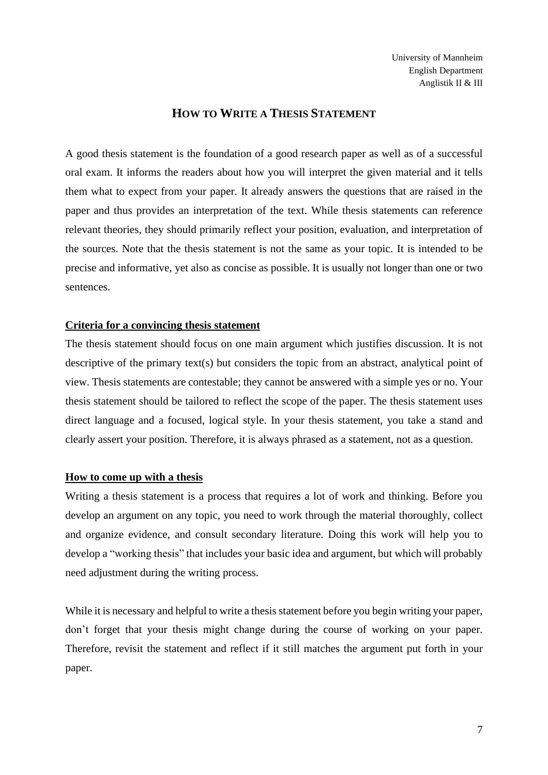## **HOW TO WRITE A THESIS STATEMENT**

A good thesis statement is the foundation of a good research paper as well as of a successful oral exam. It informs the readers about how you will interpret the given material and it tells them what to expect from your paper. It already answers the questions that are raised in the paper and thus provides an interpretation of the text. While thesis statements can reference relevant theories, they should primarily reflect your position, evaluation, and interpretation of the sources. Note that the thesis statement is not the same as your topic. It is intended to be precise and informative, yet also as concise as possible. It is usually not longer than one or two sentences.

#### **Criteria for a convincing thesis statement**

The thesis statement should focus on one main argument which justifies discussion. It is not descriptive of the primary text(s) but considers the topic from an abstract, analytical point of view. Thesis statements are contestable; they cannot be answered with a simple yes or no. Your thesis statement should be tailored to reflect the scope of the paper. The thesis statement uses direct language and a focused, logical style. In your thesis statement, you take a stand and clearly assert your position. Therefore, it is always phrased as a statement, not as a question.

## **How to come up with a thesis**

Writing a thesis statement is a process that requires a lot of work and thinking. Before you develop an argument on any topic, you need to work through the material thoroughly, collect and organize evidence, and consult secondary literature. Doing this work will help you to develop a "working thesis" that includes your basic idea and argument, but which will probably need adjustment during the writing process.

While it is necessary and helpful to write a thesis statement before you begin writing your paper, don't forget that your thesis might change during the course of working on your paper. Therefore, revisit the statement and reflect if it still matches the argument put forth in your paper.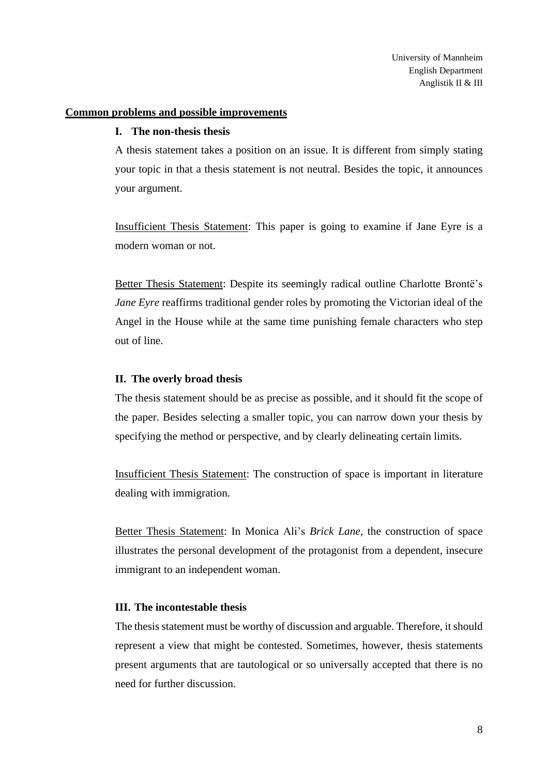#### **Common problems and possible improvements**

#### **I. The non-thesis thesis**

A thesis statement takes a position on an issue. It is different from simply stating your topic in that a thesis statement is not neutral. Besides the topic, it announces your argument.

Insufficient Thesis Statement: This paper is going to examine if Jane Eyre is a modern woman or not.

Better Thesis Statement: Despite its seemingly radical outline Charlotte Brontë's *Jane Eyre* reaffirms traditional gender roles by promoting the Victorian ideal of the Angel in the House while at the same time punishing female characters who step out of line.

#### **II. The overly broad thesis**

The thesis statement should be as precise as possible, and it should fit the scope of the paper. Besides selecting a smaller topic, you can narrow down your thesis by specifying the method or perspective, and by clearly delineating certain limits.

Insufficient Thesis Statement: The construction of space is important in literature dealing with immigration.

Better Thesis Statement: In Monica Ali's *Brick Lane*, the construction of space illustrates the personal development of the protagonist from a dependent, insecure immigrant to an independent woman.

#### **III. The incontestable thesis**

The thesis statement must be worthy of discussion and arguable. Therefore, it should represent a view that might be contested. Sometimes, however, thesis statements present arguments that are tautological or so universally accepted that there is no need for further discussion.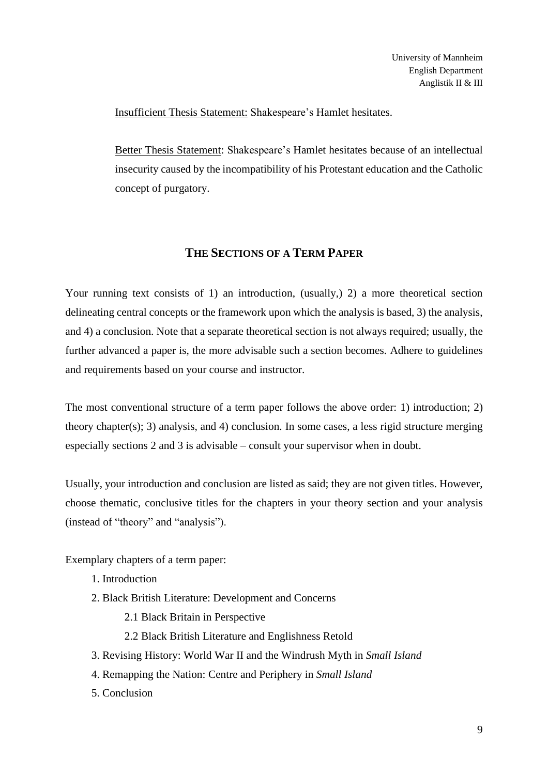Insufficient Thesis Statement: Shakespeare's Hamlet hesitates.

Better Thesis Statement: Shakespeare's Hamlet hesitates because of an intellectual insecurity caused by the incompatibility of his Protestant education and the Catholic concept of purgatory.

# **THE SECTIONS OF A TERM PAPER**

Your running text consists of 1) an introduction, (usually, 2) a more theoretical section delineating central concepts or the framework upon which the analysis is based, 3) the analysis, and 4) a conclusion. Note that a separate theoretical section is not always required; usually, the further advanced a paper is, the more advisable such a section becomes. Adhere to guidelines and requirements based on your course and instructor.

The most conventional structure of a term paper follows the above order: 1) introduction; 2) theory chapter(s); 3) analysis, and 4) conclusion. In some cases, a less rigid structure merging especially sections 2 and 3 is advisable – consult your supervisor when in doubt.

Usually, your introduction and conclusion are listed as said; they are not given titles. However, choose thematic, conclusive titles for the chapters in your theory section and your analysis (instead of "theory" and "analysis").

Exemplary chapters of a term paper:

- 1. Introduction
- 2. Black British Literature: Development and Concerns
	- 2.1 Black Britain in Perspective
	- 2.2 Black British Literature and Englishness Retold
- 3. Revising History: World War II and the Windrush Myth in *Small Island*
- 4. Remapping the Nation: Centre and Periphery in *Small Island*
- 5. Conclusion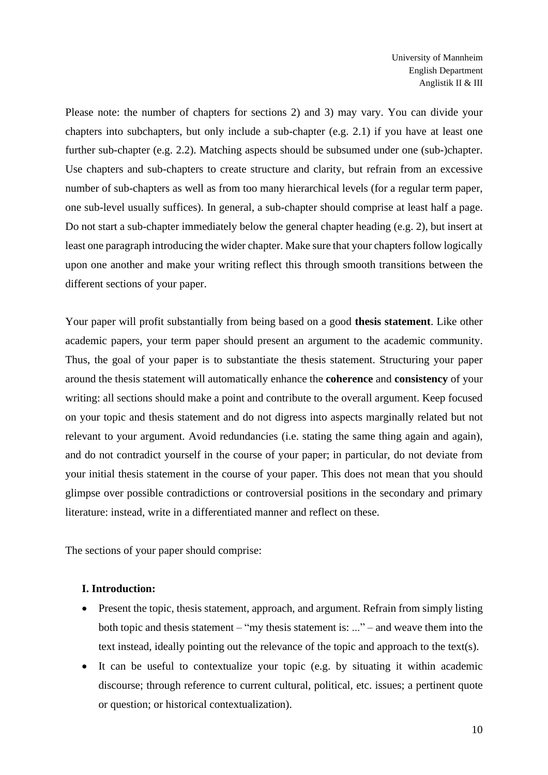Please note: the number of chapters for sections 2) and 3) may vary. You can divide your chapters into subchapters, but only include a sub-chapter (e.g. 2.1) if you have at least one further sub-chapter (e.g. 2.2). Matching aspects should be subsumed under one (sub-)chapter. Use chapters and sub-chapters to create structure and clarity, but refrain from an excessive number of sub-chapters as well as from too many hierarchical levels (for a regular term paper, one sub-level usually suffices). In general, a sub-chapter should comprise at least half a page. Do not start a sub-chapter immediately below the general chapter heading (e.g. 2), but insert at least one paragraph introducing the wider chapter. Make sure that your chapters follow logically upon one another and make your writing reflect this through smooth transitions between the different sections of your paper.

Your paper will profit substantially from being based on a good **thesis statement**. Like other academic papers, your term paper should present an argument to the academic community. Thus, the goal of your paper is to substantiate the thesis statement. Structuring your paper around the thesis statement will automatically enhance the **coherence** and **consistency** of your writing: all sections should make a point and contribute to the overall argument. Keep focused on your topic and thesis statement and do not digress into aspects marginally related but not relevant to your argument. Avoid redundancies (i.e. stating the same thing again and again), and do not contradict yourself in the course of your paper; in particular, do not deviate from your initial thesis statement in the course of your paper. This does not mean that you should glimpse over possible contradictions or controversial positions in the secondary and primary literature: instead, write in a differentiated manner and reflect on these.

The sections of your paper should comprise:

#### **I. Introduction:**

- Present the topic, thesis statement, approach, and argument. Refrain from simply listing both topic and thesis statement – "my thesis statement is: ..." – and weave them into the text instead, ideally pointing out the relevance of the topic and approach to the text(s).
- It can be useful to contextualize your topic (e.g. by situating it within academic discourse; through reference to current cultural, political, etc. issues; a pertinent quote or question; or historical contextualization).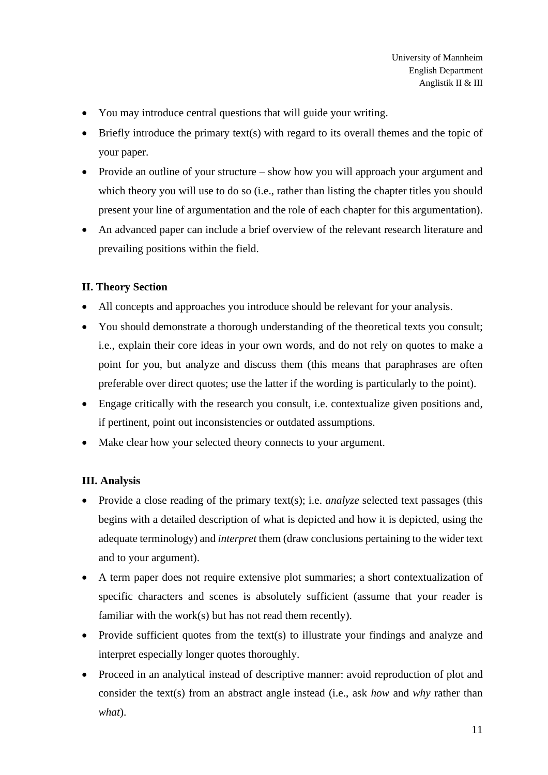- You may introduce central questions that will guide your writing.
- Briefly introduce the primary text(s) with regard to its overall themes and the topic of your paper.
- Provide an outline of your structure show how you will approach your argument and which theory you will use to do so (i.e., rather than listing the chapter titles you should present your line of argumentation and the role of each chapter for this argumentation).
- An advanced paper can include a brief overview of the relevant research literature and prevailing positions within the field.

## **II. Theory Section**

- All concepts and approaches you introduce should be relevant for your analysis.
- You should demonstrate a thorough understanding of the theoretical texts you consult; i.e., explain their core ideas in your own words, and do not rely on quotes to make a point for you, but analyze and discuss them (this means that paraphrases are often preferable over direct quotes; use the latter if the wording is particularly to the point).
- Engage critically with the research you consult, i.e. contextualize given positions and, if pertinent, point out inconsistencies or outdated assumptions.
- Make clear how your selected theory connects to your argument.

## **III. Analysis**

- Provide a close reading of the primary text(s); i.e. *analyze* selected text passages (this begins with a detailed description of what is depicted and how it is depicted, using the adequate terminology) and *interpret* them (draw conclusions pertaining to the wider text and to your argument).
- A term paper does not require extensive plot summaries; a short contextualization of specific characters and scenes is absolutely sufficient (assume that your reader is familiar with the work(s) but has not read them recently).
- Provide sufficient quotes from the text(s) to illustrate your findings and analyze and interpret especially longer quotes thoroughly.
- Proceed in an analytical instead of descriptive manner: avoid reproduction of plot and consider the text(s) from an abstract angle instead (i.e., ask *how* and *why* rather than *what*).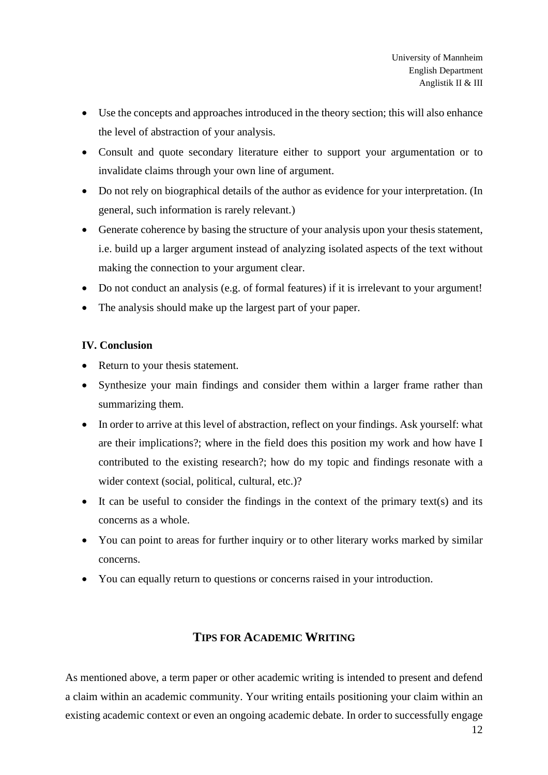- Use the concepts and approaches introduced in the theory section; this will also enhance the level of abstraction of your analysis.
- Consult and quote secondary literature either to support your argumentation or to invalidate claims through your own line of argument.
- Do not rely on biographical details of the author as evidence for your interpretation. (In general, such information is rarely relevant.)
- Generate coherence by basing the structure of your analysis upon your thesis statement, i.e. build up a larger argument instead of analyzing isolated aspects of the text without making the connection to your argument clear.
- Do not conduct an analysis (e.g. of formal features) if it is irrelevant to your argument!
- The analysis should make up the largest part of your paper.

## **IV. Conclusion**

- Return to your thesis statement.
- Synthesize your main findings and consider them within a larger frame rather than summarizing them.
- In order to arrive at this level of abstraction, reflect on your findings. Ask yourself: what are their implications?; where in the field does this position my work and how have I contributed to the existing research?; how do my topic and findings resonate with a wider context (social, political, cultural, etc.)?
- It can be useful to consider the findings in the context of the primary text(s) and its concerns as a whole.
- You can point to areas for further inquiry or to other literary works marked by similar concerns.
- You can equally return to questions or concerns raised in your introduction.

# **TIPS FOR ACADEMIC WRITING**

As mentioned above, a term paper or other academic writing is intended to present and defend a claim within an academic community. Your writing entails positioning your claim within an existing academic context or even an ongoing academic debate. In order to successfully engage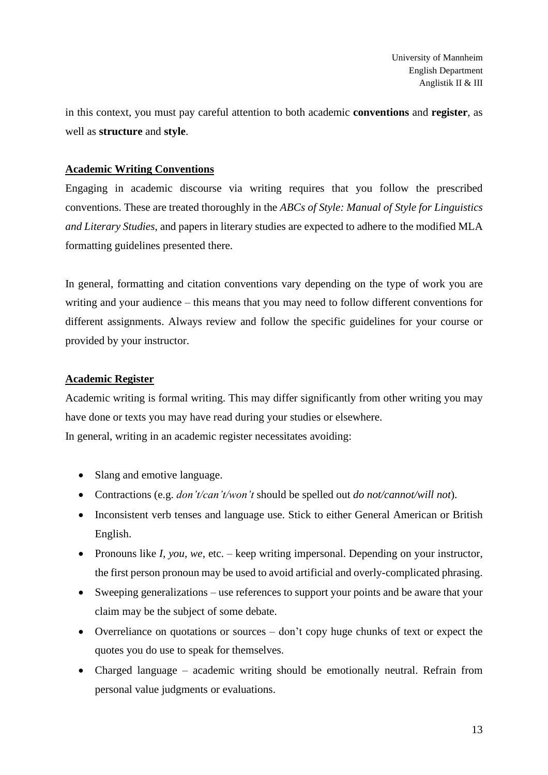in this context, you must pay careful attention to both academic **conventions** and **register**, as well as **structure** and **style**.

## **Academic Writing Conventions**

Engaging in academic discourse via writing requires that you follow the prescribed conventions. These are treated thoroughly in the *ABCs of Style: Manual of Style for Linguistics and Literary Studies*, and papers in literary studies are expected to adhere to the modified MLA formatting guidelines presented there.

In general, formatting and citation conventions vary depending on the type of work you are writing and your audience – this means that you may need to follow different conventions for different assignments. Always review and follow the specific guidelines for your course or provided by your instructor.

## **Academic Register**

Academic writing is formal writing. This may differ significantly from other writing you may have done or texts you may have read during your studies or elsewhere. In general, writing in an academic register necessitates avoiding:

- Slang and emotive language.
- Contractions (e.g. *don't/can't/won't* should be spelled out *do not/cannot/will not*).
- Inconsistent verb tenses and language use. Stick to either General American or British English.
- Pronouns like *I, you, we,* etc. keep writing impersonal. Depending on your instructor, the first person pronoun may be used to avoid artificial and overly-complicated phrasing.
- Sweeping generalizations use references to support your points and be aware that your claim may be the subject of some debate.
- Overreliance on quotations or sources don't copy huge chunks of text or expect the quotes you do use to speak for themselves.
- Charged language academic writing should be emotionally neutral. Refrain from personal value judgments or evaluations.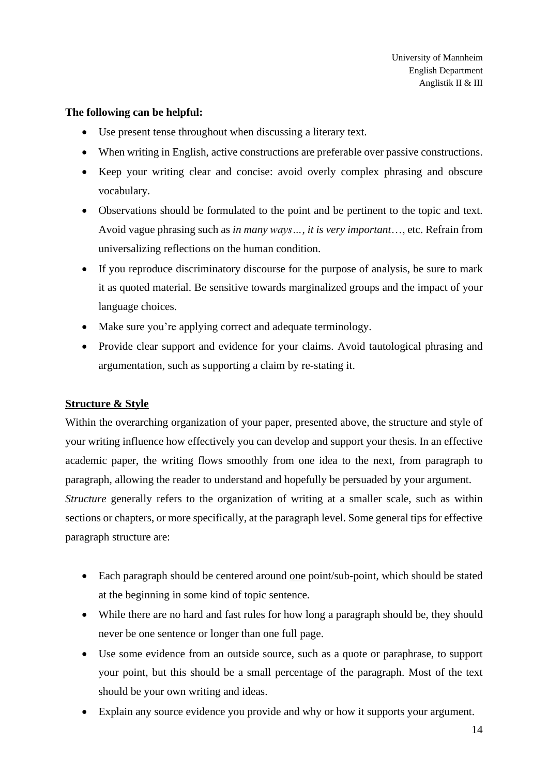#### **The following can be helpful:**

- Use present tense throughout when discussing a literary text.
- When writing in English, active constructions are preferable over passive constructions.
- Keep your writing clear and concise: avoid overly complex phrasing and obscure vocabulary.
- Observations should be formulated to the point and be pertinent to the topic and text. Avoid vague phrasing such as *in many ways…*, *it is very important*…, etc. Refrain from universalizing reflections on the human condition.
- If you reproduce discriminatory discourse for the purpose of analysis, be sure to mark it as quoted material. Be sensitive towards marginalized groups and the impact of your language choices.
- Make sure you're applying correct and adequate terminology.
- Provide clear support and evidence for your claims. Avoid tautological phrasing and argumentation, such as supporting a claim by re-stating it.

## **Structure & Style**

Within the overarching organization of your paper, presented above, the structure and style of your writing influence how effectively you can develop and support your thesis. In an effective academic paper, the writing flows smoothly from one idea to the next, from paragraph to paragraph, allowing the reader to understand and hopefully be persuaded by your argument. *Structure* generally refers to the organization of writing at a smaller scale, such as within

sections or chapters, or more specifically, at the paragraph level. Some general tips for effective paragraph structure are:

- Each paragraph should be centered around <u>one</u> point/sub-point, which should be stated at the beginning in some kind of topic sentence.
- While there are no hard and fast rules for how long a paragraph should be, they should never be one sentence or longer than one full page.
- Use some evidence from an outside source, such as a quote or paraphrase, to support your point, but this should be a small percentage of the paragraph. Most of the text should be your own writing and ideas.
- Explain any source evidence you provide and why or how it supports your argument.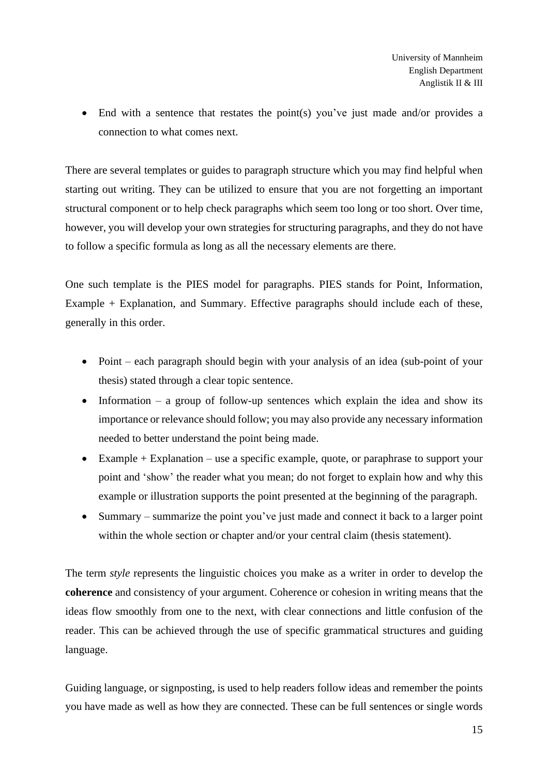• End with a sentence that restates the point(s) you've just made and/or provides a connection to what comes next.

There are several templates or guides to paragraph structure which you may find helpful when starting out writing. They can be utilized to ensure that you are not forgetting an important structural component or to help check paragraphs which seem too long or too short. Over time, however, you will develop your own strategies for structuring paragraphs, and they do not have to follow a specific formula as long as all the necessary elements are there.

One such template is the PIES model for paragraphs. PIES stands for Point, Information, Example + Explanation, and Summary. Effective paragraphs should include each of these, generally in this order.

- Point each paragraph should begin with your analysis of an idea (sub-point of your thesis) stated through a clear topic sentence.
- Information a group of follow-up sentences which explain the idea and show its importance or relevance should follow; you may also provide any necessary information needed to better understand the point being made.
- Example  $+$  Explanation use a specific example, quote, or paraphrase to support your point and 'show' the reader what you mean; do not forget to explain how and why this example or illustration supports the point presented at the beginning of the paragraph.
- Summary summarize the point you've just made and connect it back to a larger point within the whole section or chapter and/or your central claim (thesis statement).

The term *style* represents the linguistic choices you make as a writer in order to develop the **coherence** and consistency of your argument. Coherence or cohesion in writing means that the ideas flow smoothly from one to the next, with clear connections and little confusion of the reader. This can be achieved through the use of specific grammatical structures and guiding language.

Guiding language, or signposting, is used to help readers follow ideas and remember the points you have made as well as how they are connected. These can be full sentences or single words